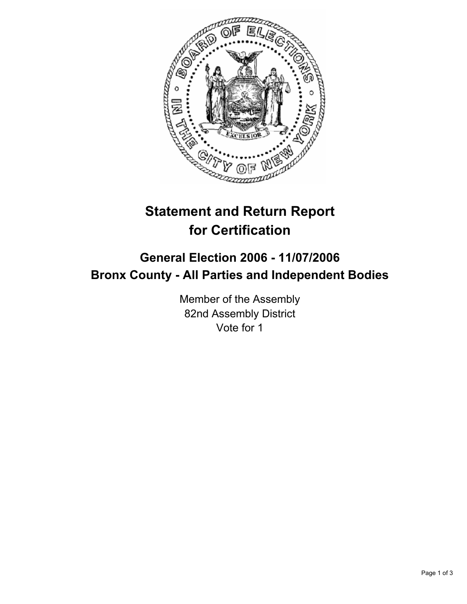

# **Statement and Return Report for Certification**

## **General Election 2006 - 11/07/2006 Bronx County - All Parties and Independent Bodies**

Member of the Assembly 82nd Assembly District Vote for 1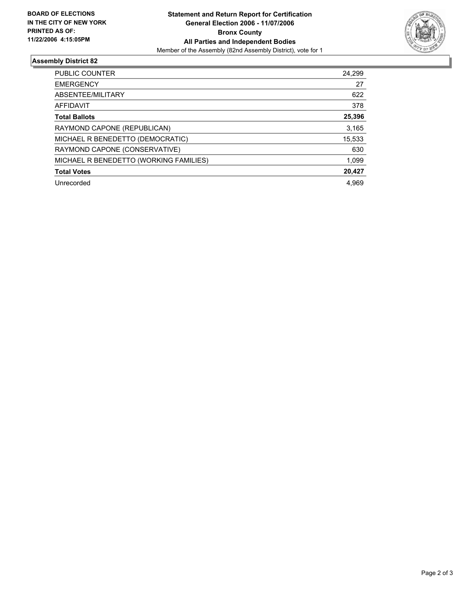

### **Assembly District 82**

| <b>PUBLIC COUNTER</b>                  | 24,299 |
|----------------------------------------|--------|
| <b>EMERGENCY</b>                       | 27     |
| ABSENTEE/MILITARY                      | 622    |
| <b>AFFIDAVIT</b>                       | 378    |
| <b>Total Ballots</b>                   | 25,396 |
| RAYMOND CAPONE (REPUBLICAN)            | 3,165  |
| MICHAEL R BENEDETTO (DEMOCRATIC)       | 15,533 |
| RAYMOND CAPONE (CONSERVATIVE)          | 630    |
| MICHAEL R BENEDETTO (WORKING FAMILIES) | 1,099  |
| <b>Total Votes</b>                     | 20,427 |
| Unrecorded                             | 4.969  |
|                                        |        |